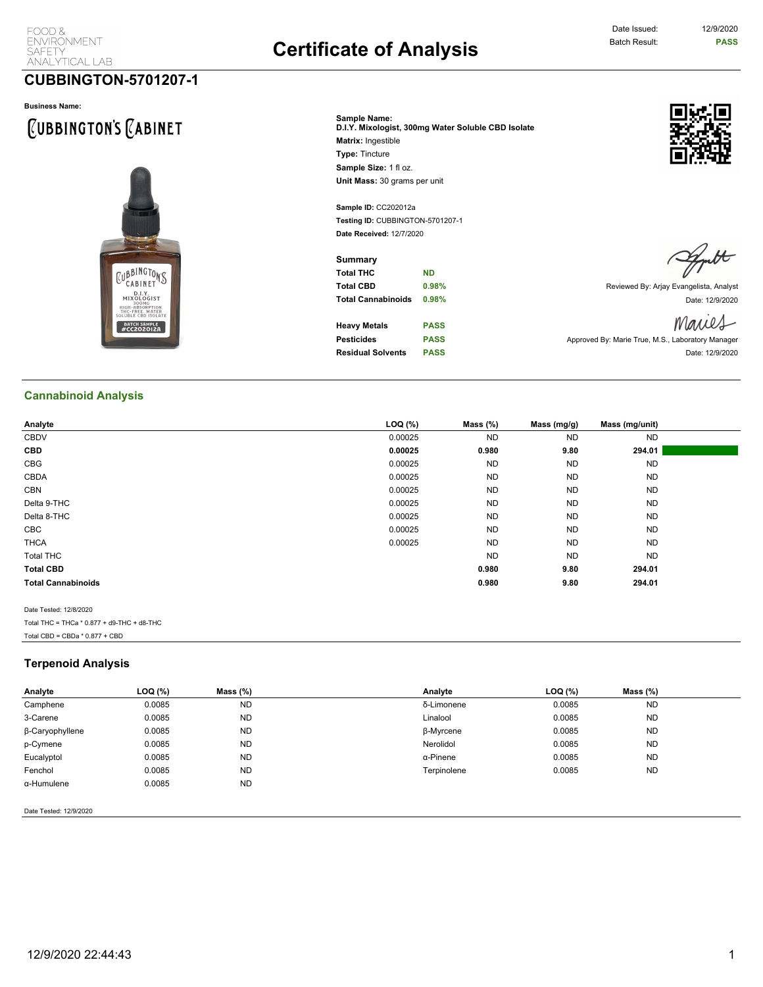## Date Issued: 12/9/2020

### **CUBBINGTON-5701207-1**

#### **Business Name:**

# **CUBBINGTON'S CABINET**



**Sample Name: D.I.Y. Mixologist, 300mg Water Soluble CBD Isolate Matrix:** Ingestible **Type:** Tincture Sample Size: 1 fl oz. **Unit Mass:** 30 grams per unit

**Sample ID:** CC202012a **Testing ID:** CUBBINGTON-5701207-1 **Date Received:** 12/7/2020

**Summary Total THC ND**

**Heavy Metals PASS Residual Solvents PASS Date: 12/9/2020** 



**Total CBD 0.98% 10.98% 10.98% Reviewed By: Arjay Evangelista, Analyst Total Cannabinoids 0.98% Date: 12/9/2020** Date: 12/9/2020

Maries **Pesticides PASS PASS** Approved By: Marie True, M.S., Laboratory Manager

**Cannabinoid Analysis**

| Analyte                   | $LOQ$ $(\%)$ | Mass $(\%)$ | Mass (mg/g) | Mass (mg/unit) |  |
|---------------------------|--------------|-------------|-------------|----------------|--|
| CBDV                      | 0.00025      | <b>ND</b>   | <b>ND</b>   | <b>ND</b>      |  |
| <b>CBD</b>                | 0.00025      | 0.980       | 9.80        | 294.01         |  |
| CBG                       | 0.00025      | <b>ND</b>   | <b>ND</b>   | <b>ND</b>      |  |
| CBDA                      | 0.00025      | <b>ND</b>   | <b>ND</b>   | <b>ND</b>      |  |
| <b>CBN</b>                | 0.00025      | <b>ND</b>   | <b>ND</b>   | <b>ND</b>      |  |
| Delta 9-THC               | 0.00025      | <b>ND</b>   | <b>ND</b>   | <b>ND</b>      |  |
| Delta 8-THC               | 0.00025      | <b>ND</b>   | <b>ND</b>   | <b>ND</b>      |  |
| CBC                       | 0.00025      | <b>ND</b>   | <b>ND</b>   | <b>ND</b>      |  |
| <b>THCA</b>               | 0.00025      | <b>ND</b>   | <b>ND</b>   | <b>ND</b>      |  |
| <b>Total THC</b>          |              | <b>ND</b>   | <b>ND</b>   | <b>ND</b>      |  |
| <b>Total CBD</b>          |              | 0.980       | 9.80        | 294.01         |  |
| <b>Total Cannabinoids</b> |              | 0.980       | 9.80        | 294.01         |  |
|                           |              |             |             |                |  |
| Date Tested: 12/8/2020    |              |             |             |                |  |

Total THC = THCa \* 0.877 + d9-THC + d8-THC Total CBD =  $CBDa * 0.877 + CBD$ 

#### **Terpenoid Analysis**

| Analyte         | LOQ (%) | Mass $(\%)$ | Analyte     | LOQ (%) | Mass $(\%)$ |  |
|-----------------|---------|-------------|-------------|---------|-------------|--|
| Camphene        | 0.0085  | <b>ND</b>   | δ-Limonene  | 0.0085  | <b>ND</b>   |  |
| 3-Carene        | 0.0085  | <b>ND</b>   | Linalool    | 0.0085  | <b>ND</b>   |  |
| β-Caryophyllene | 0.0085  | <b>ND</b>   | β-Myrcene   | 0.0085  | <b>ND</b>   |  |
| p-Cymene        | 0.0085  | <b>ND</b>   | Nerolidol   | 0.0085  | <b>ND</b>   |  |
| Eucalyptol      | 0.0085  | <b>ND</b>   | α-Pinene    | 0.0085  | <b>ND</b>   |  |
| Fenchol         | 0.0085  | <b>ND</b>   | Terpinolene | 0.0085  | <b>ND</b>   |  |
| α-Humulene      | 0.0085  | <b>ND</b>   |             |         |             |  |

Date Tested: 12/9/2020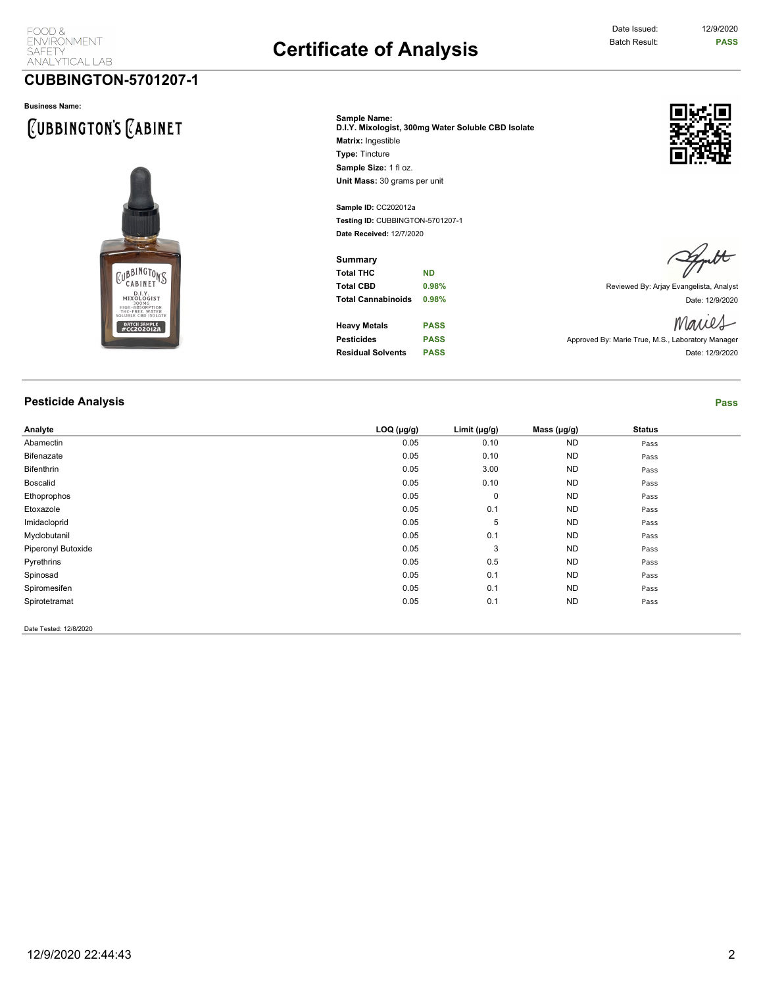### **CUBBINGTON-5701207-1**

#### **Business Name:**

# CUBBINGTON'S CABINET



| Sample Name:<br>D.I.Y. Mixologist, 300mg Water Soluble CBD Isolate |
|--------------------------------------------------------------------|
| <b>Matrix: Ingestible</b>                                          |
| <b>Type: Tincture</b>                                              |
| Sample Size: 1 fl oz.                                              |
| Unit Mass: 30 grams per unit                                       |

**Sample ID:** CC202012a **Testing ID:** CUBBINGTON-5701207-1 **Date Received:** 12/7/2020

**Summary Total THC ND**

**Heavy Metals PASS Pesticides PASS PASS** Approved By: Marie True, M.S., Laboratory Manager



**Total CBD 0.98% 1.4 CBD 0.98% 1.5 CD Reviewed By: Arjay Evangelista, Analyst Total Cannabinoids 0.98%** Date: 12/9/2020

Maries

**Residual Solvents PASS Date: 12/9/2020** 

**Pesticide Analysis Pass**

| Analyte                | $LOQ$ ( $\mu$ g/g) | Limit $(\mu g/g)$ | Mass $(\mu g/g)$ | <b>Status</b> |  |
|------------------------|--------------------|-------------------|------------------|---------------|--|
| Abamectin              | 0.05               | 0.10              | <b>ND</b>        | Pass          |  |
| Bifenazate             | 0.05               | 0.10              | <b>ND</b>        | Pass          |  |
| Bifenthrin             | 0.05               | 3.00              | <b>ND</b>        | Pass          |  |
| Boscalid               | 0.05               | 0.10              | <b>ND</b>        | Pass          |  |
| Ethoprophos            | 0.05               | $\mathbf 0$       | <b>ND</b>        | Pass          |  |
| Etoxazole              | 0.05               | 0.1               | <b>ND</b>        | Pass          |  |
| Imidacloprid           | 0.05               | 5                 | <b>ND</b>        | Pass          |  |
| Myclobutanil           | 0.05               | 0.1               | <b>ND</b>        | Pass          |  |
| Piperonyl Butoxide     | 0.05               | 3                 | <b>ND</b>        | Pass          |  |
| Pyrethrins             | 0.05               | 0.5               | <b>ND</b>        | Pass          |  |
| Spinosad               | 0.05               | 0.1               | <b>ND</b>        | Pass          |  |
| Spiromesifen           | 0.05               | 0.1               | <b>ND</b>        | Pass          |  |
| Spirotetramat          | 0.05               | 0.1               | <b>ND</b>        | Pass          |  |
| Date Tested: 12/8/2020 |                    |                   |                  |               |  |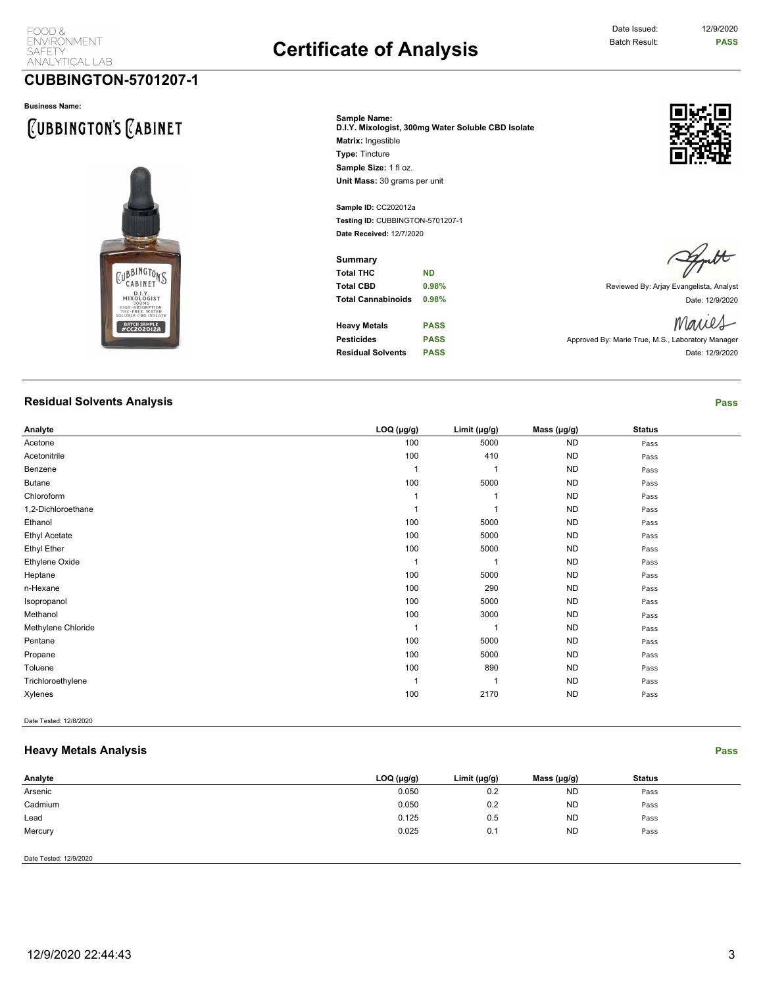## Date Issued: 12/9/2020

### **CUBBINGTON-5701207-1**

#### **Business Name:**

# **CUBBINGTON'S CABINET**



**Sample ID:** CC202012a **Testing ID:** CUBBINGTON-5701207-1 **Date Received:** 12/7/2020

**Summary Total THC ND**

**Heavy Metals PASS Pesticides PASS PASS Approved By: Marie True, M.S., Laboratory Manager** 



**Total CBD 0.98% 10.98% 10.98% Reviewed By: Arjay Evangelista, Analyst Total Cannabinoids 0.98% Date: 12/9/2020** Date: 12/9/2020

Maries

**Residual Solvents PASS Date: 12/9/2020** 

**Residual Solvents Analysis Pass**

| Analyte              | $LOQ$ ( $\mu$ g/g) | Limit $(\mu g/g)$ | Mass $(\mu g/g)$ | <b>Status</b> |  |
|----------------------|--------------------|-------------------|------------------|---------------|--|
| Acetone              | 100                | 5000              | <b>ND</b>        | Pass          |  |
| Acetonitrile         | 100                | 410               | <b>ND</b>        | Pass          |  |
| Benzene              |                    |                   | <b>ND</b>        | Pass          |  |
| <b>Butane</b>        | 100                | 5000              | <b>ND</b>        | Pass          |  |
| Chloroform           |                    |                   | <b>ND</b>        | Pass          |  |
| 1,2-Dichloroethane   |                    |                   | <b>ND</b>        | Pass          |  |
| Ethanol              | 100                | 5000              | <b>ND</b>        | Pass          |  |
| <b>Ethyl Acetate</b> | 100                | 5000              | <b>ND</b>        | Pass          |  |
| <b>Ethyl Ether</b>   | 100                | 5000              | <b>ND</b>        | Pass          |  |
| Ethylene Oxide       |                    |                   | <b>ND</b>        | Pass          |  |
| Heptane              | 100                | 5000              | <b>ND</b>        | Pass          |  |
| n-Hexane             | 100                | 290               | <b>ND</b>        | Pass          |  |
| Isopropanol          | 100                | 5000              | <b>ND</b>        | Pass          |  |
| Methanol             | 100                | 3000              | <b>ND</b>        | Pass          |  |
| Methylene Chloride   |                    |                   | <b>ND</b>        | Pass          |  |
| Pentane              | 100                | 5000              | <b>ND</b>        | Pass          |  |
| Propane              | 100                | 5000              | <b>ND</b>        | Pass          |  |
| Toluene              | 100                | 890               | <b>ND</b>        | Pass          |  |
| Trichloroethylene    |                    |                   | <b>ND</b>        | Pass          |  |
| Xylenes              | 100                | 2170              | <b>ND</b>        | Pass          |  |
|                      |                    |                   |                  |               |  |

Date Tested: 12/8/2020

#### **Heavy Metals Analysis Pass**

| Analyte                | LOG (µg/g) | Limit (µg/g) | Mass (µg/g) | <b>Status</b> |  |
|------------------------|------------|--------------|-------------|---------------|--|
| Arsenic                | 0.050      | 0.2          | <b>ND</b>   | Pass          |  |
| Cadmium                | 0.050      | 0.2          | <b>ND</b>   | Pass          |  |
| Lead                   | 0.125      | 0.5          | <b>ND</b>   | Pass          |  |
| Mercury                | 0.025      | 0.1          | <b>ND</b>   | Pass          |  |
|                        |            |              |             |               |  |
| Date Tested: 12/9/2020 |            |              |             |               |  |